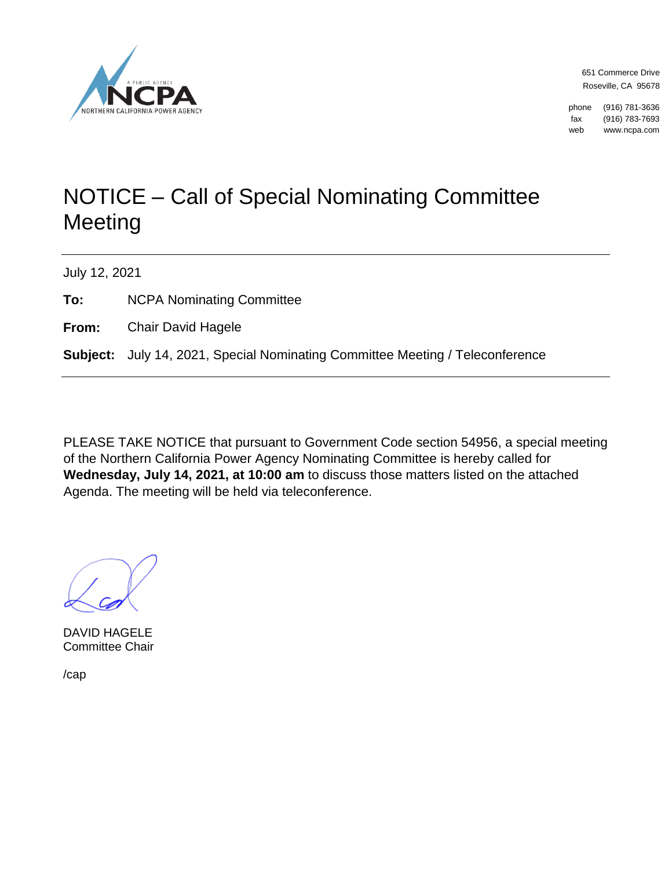

651 Commerce Drive Roseville, CA 95678

phone (916) 781-3636 fax (916) 783-7693 web www.ncpa.com

## NOTICE – Call of Special Nominating Committee **Meeting**

July 12, 2021

**To:** NCPA Nominating Committee

**From:** Chair David Hagele

**Subject:** July 14, 2021, Special Nominating Committee Meeting / Teleconference

PLEASE TAKE NOTICE that pursuant to Government Code section 54956, a special meeting of the Northern California Power Agency Nominating Committee is hereby called for **Wednesday, July 14, 2021, at 10:00 am** to discuss those matters listed on the attached Agenda. The meeting will be held via teleconference.

DAVID HAGELE Committee Chair

/cap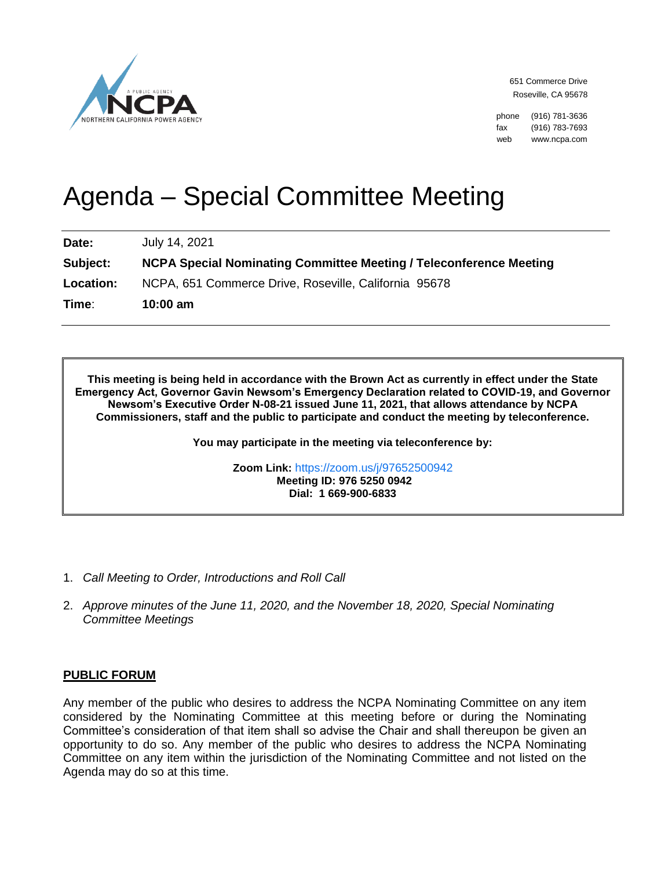

651 Commerce Drive Roseville, CA 95678

phone (916) 781-3636 fax (916) 783-7693 web www.ncpa.com

# Agenda – Special Committee Meeting

**Date:** July 14, 2021

**Subject: NCPA Special Nominating Committee Meeting / Teleconference Meeting Location:** NCPA, 651 Commerce Drive, Roseville, California 95678 **Time**: **10:00 am**

**This meeting is being held in accordance with the Brown Act as currently in effect under the State Emergency Act, Governor Gavin Newsom's Emergency Declaration related to COVID-19, and Governor Newsom's Executive Order N-08-21 issued June 11, 2021, that allows attendance by NCPA Commissioners, staff and the public to participate and conduct the meeting by teleconference.**

**You may participate in the meeting via teleconference by:**

**Zoom Link:** <https://zoom.us/j/97652500942> **Meeting ID: 976 5250 0942 Dial: 1 669-900-6833**

- 1. *Call Meeting to Order, Introductions and Roll Call*
- 2. *Approve minutes of the June 11, 2020, and the November 18, 2020, Special Nominating Committee Meetings*

### **PUBLIC FORUM**

Any member of the public who desires to address the NCPA Nominating Committee on any item considered by the Nominating Committee at this meeting before or during the Nominating Committee's consideration of that item shall so advise the Chair and shall thereupon be given an opportunity to do so. Any member of the public who desires to address the NCPA Nominating Committee on any item within the jurisdiction of the Nominating Committee and not listed on the Agenda may do so at this time.